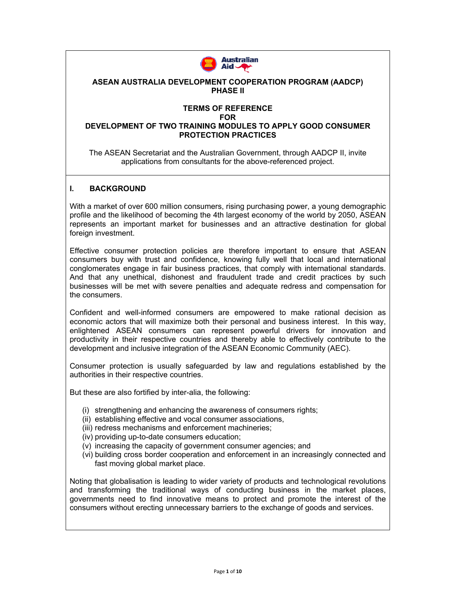

#### **ASEAN AUSTRALIA DEVELOPMENT COOPERATION PROGRAM (AADCP) PHASE II**

## **TERMS OF REFERENCE**

**FOR** 

#### **DEVELOPMENT OF TWO TRAINING MODULES TO APPLY GOOD CONSUMER PROTECTION PRACTICES**

The ASEAN Secretariat and the Australian Government, through AADCP II, invite applications from consultants for the above-referenced project.

#### **I. BACKGROUND**

With a market of over 600 million consumers, rising purchasing power, a young demographic profile and the likelihood of becoming the 4th largest economy of the world by 2050, ASEAN represents an important market for businesses and an attractive destination for global foreign investment.

Effective consumer protection policies are therefore important to ensure that ASEAN consumers buy with trust and confidence, knowing fully well that local and international conglomerates engage in fair business practices, that comply with international standards. And that any unethical, dishonest and fraudulent trade and credit practices by such businesses will be met with severe penalties and adequate redress and compensation for the consumers.

Confident and well-informed consumers are empowered to make rational decision as economic actors that will maximize both their personal and business interest. In this way, enlightened ASEAN consumers can represent powerful drivers for innovation and productivity in their respective countries and thereby able to effectively contribute to the development and inclusive integration of the ASEAN Economic Community (AEC).

Consumer protection is usually safeguarded by law and regulations established by the authorities in their respective countries.

But these are also fortified by inter-alia, the following:

- (i) strengthening and enhancing the awareness of consumers rights;
- (ii) establishing effective and vocal consumer associations,
- (iii) redress mechanisms and enforcement machineries;
- (iv) providing up-to-date consumers education;
- (v) increasing the capacity of government consumer agencies; and
- (vi) building cross border cooperation and enforcement in an increasingly connected and fast moving global market place.

Noting that globalisation is leading to wider variety of products and technological revolutions and transforming the traditional ways of conducting business in the market places, governments need to find innovative means to protect and promote the interest of the consumers without erecting unnecessary barriers to the exchange of goods and services.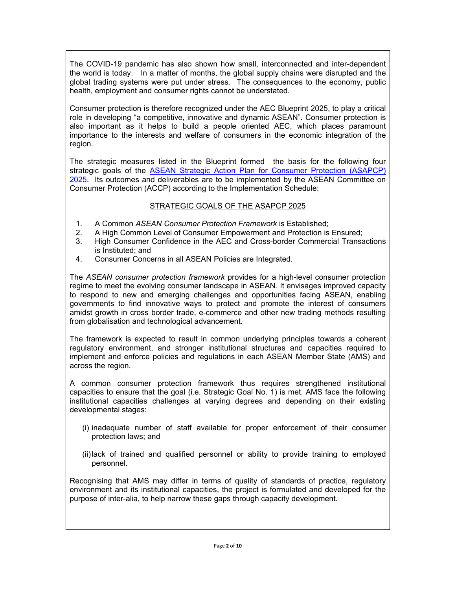The COVID-19 pandemic has also shown how small, interconnected and inter-dependent the world is today. In a matter of months, the global supply chains were disrupted and the global trading systems were put under stress. The consequences to the economy, public health, employment and consumer rights cannot be understated.

Consumer protection is therefore recognized under the AEC Blueprint 2025, to play a critical role in developing "a competitive, innovative and dynamic ASEAN". Consumer protection is also important as it helps to build a people oriented AEC, which places paramount importance to the interests and welfare of consumers in the economic integration of the region.

The strategic measures listed in the Blueprint formed the basis for the following four strategic goals of the ASEAN Strategic Action Plan for Consumer Protection (ASAPCP) 2025. Its outcomes and deliverables are to be implemented by the ASEAN Committee on Consumer Protection (ACCP) according to the Implementation Schedule:

#### STRATEGIC GOALS OF THE ASAPCP 2025

- 1. A Common *ASEAN Consumer Protection Framework* is Established;
- 2. A High Common Level of Consumer Empowerment and Protection is Ensured;
- 3. High Consumer Confidence in the AEC and Cross-border Commercial Transactions is Instituted; and
- 4. Consumer Concerns in all ASEAN Policies are Integrated.

The *ASEAN consumer protection framework* provides for a high-level consumer protection regime to meet the evolving consumer landscape in ASEAN. It envisages improved capacity to respond to new and emerging challenges and opportunities facing ASEAN, enabling governments to find innovative ways to protect and promote the interest of consumers amidst growth in cross border trade, e-commerce and other new trading methods resulting from globalisation and technological advancement.

The framework is expected to result in common underlying principles towards a coherent regulatory environment, and stronger institutional structures and capacities required to implement and enforce policies and regulations in each ASEAN Member State (AMS) and across the region.

A common consumer protection framework thus requires strengthened institutional capacities to ensure that the goal (i.e. Strategic Goal No. 1) is met. AMS face the following institutional capacities challenges at varying degrees and depending on their existing developmental stages:

- (i) inadequate number of staff available for proper enforcement of their consumer protection laws; and
- (ii) lack of trained and qualified personnel or ability to provide training to employed personnel.

Recognising that AMS may differ in terms of quality of standards of practice, regulatory environment and its institutional capacities, the project is formulated and developed for the purpose of inter-alia, to help narrow these gaps through capacity development.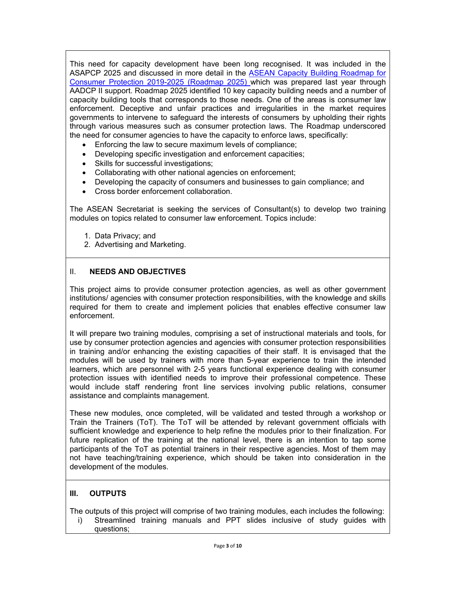This need for capacity development have been long recognised. It was included in the ASAPCP 2025 and discussed in more detail in the ASEAN Capacity Building Roadmap for Consumer Protection 2019-2025 (Roadmap 2025) which was prepared last year through AADCP II support. Roadmap 2025 identified 10 key capacity building needs and a number of capacity building tools that corresponds to those needs. One of the areas is consumer law enforcement. Deceptive and unfair practices and irregularities in the market requires governments to intervene to safeguard the interests of consumers by upholding their rights through various measures such as consumer protection laws. The Roadmap underscored the need for consumer agencies to have the capacity to enforce laws, specifically:

- Enforcing the law to secure maximum levels of compliance;
- Developing specific investigation and enforcement capacities;
- Skills for successful investigations;
- Collaborating with other national agencies on enforcement;
- Developing the capacity of consumers and businesses to gain compliance; and
- Cross border enforcement collaboration.

The ASEAN Secretariat is seeking the services of Consultant(s) to develop two training modules on topics related to consumer law enforcement. Topics include:

- 1. Data Privacy; and
- 2. Advertising and Marketing.

#### II. **NEEDS AND OBJECTIVES**

This project aims to provide consumer protection agencies, as well as other government institutions/ agencies with consumer protection responsibilities, with the knowledge and skills required for them to create and implement policies that enables effective consumer law enforcement.

It will prepare two training modules, comprising a set of instructional materials and tools, for use by consumer protection agencies and agencies with consumer protection responsibilities in training and/or enhancing the existing capacities of their staff. It is envisaged that the modules will be used by trainers with more than 5-year experience to train the intended learners, which are personnel with 2-5 years functional experience dealing with consumer protection issues with identified needs to improve their professional competence. These would include staff rendering front line services involving public relations, consumer assistance and complaints management.

These new modules, once completed, will be validated and tested through a workshop or Train the Trainers (ToT). The ToT will be attended by relevant government officials with sufficient knowledge and experience to help refine the modules prior to their finalization. For future replication of the training at the national level, there is an intention to tap some participants of the ToT as potential trainers in their respective agencies. Most of them may not have teaching/training experience, which should be taken into consideration in the development of the modules.

## **III. OUTPUTS**

The outputs of this project will comprise of two training modules, each includes the following:

i) Streamlined training manuals and PPT slides inclusive of study guides with questions;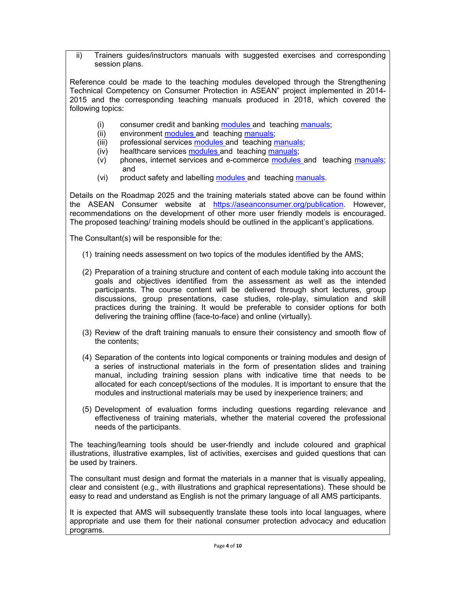ii) Trainers guides/instructors manuals with suggested exercises and corresponding session plans.

Reference could be made to the teaching modules developed through the Strengthening Technical Competency on Consumer Protection in ASEAN" project implemented in 2014- 2015 and the corresponding teaching manuals produced in 2018, which covered the following topics:

- (i) consumer credit and banking modules and teaching manuals;
- (ii) environment modules and teaching manuals;
- (iii) professional services modules and teaching manuals;
- (iv) healthcare services modules and teaching manuals;
- (v) phones, internet services and e-commerce modules and teaching manuals; and
- (vi) product safety and labelling modules and teaching manuals.

Details on the Roadmap 2025 and the training materials stated above can be found within the ASEAN Consumer website at https://aseanconsumer.org/publication. However, recommendations on the development of other more user friendly models is encouraged. The proposed teaching/ training models should be outlined in the applicant's applications.

The Consultant(s) will be responsible for the:

- (1) training needs assessment on two topics of the modules identified by the AMS;
- (2) Preparation of a training structure and content of each module taking into account the goals and objectives identified from the assessment as well as the intended participants. The course content will be delivered through short lectures, group discussions, group presentations, case studies, role-play, simulation and skill practices during the training. It would be preferable to consider options for both delivering the training offline (face-to-face) and online (virtually).
- (3) Review of the draft training manuals to ensure their consistency and smooth flow of the contents;
- (4) Separation of the contents into logical components or training modules and design of a series of instructional materials in the form of presentation slides and training manual, including training session plans with indicative time that needs to be allocated for each concept/sections of the modules. It is important to ensure that the modules and instructional materials may be used by inexperience trainers; and
- (5) Development of evaluation forms including questions regarding relevance and effectiveness of training materials, whether the material covered the professional needs of the participants.

The teaching/learning tools should be user-friendly and include coloured and graphical illustrations, illustrative examples, list of activities, exercises and guided questions that can be used by trainers.

The consultant must design and format the materials in a manner that is visually appealing, clear and consistent (e.g., with illustrations and graphical representations). These should be easy to read and understand as English is not the primary language of all AMS participants.

It is expected that AMS will subsequently translate these tools into local languages, where appropriate and use them for their national consumer protection advocacy and education programs.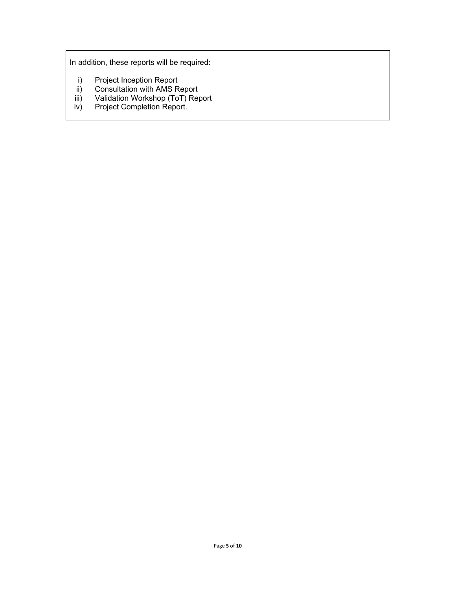In addition, these reports will be required:

- i) Project Inception Report
- ii) Consultation with AMS Report
- iii) Validation Workshop (ToT) Report<br>iv) Project Completion Report.
- Project Completion Report.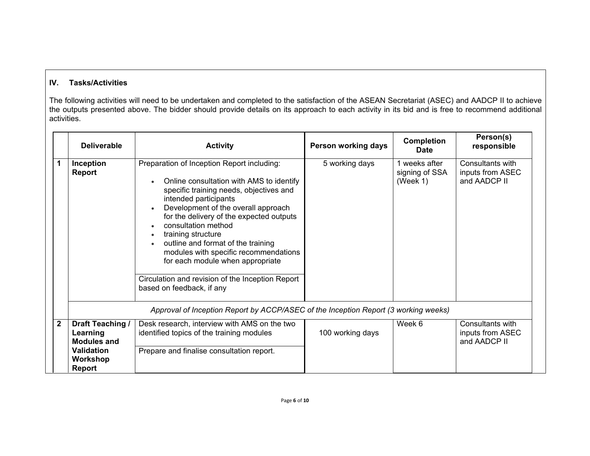# **IV. Tasks/Activities**

The following activities will need to be undertaken and completed to the satisfaction of the ASEAN Secretariat (ASEC) and AADCP II to achieve the outputs presented above. The bidder should provide details on its approach to each activity in its bid and is free to recommend additional activities.

|                | <b>Deliverable</b>                                                                                   | <b>Activity</b>                                                                                                                                                                                                                                                                                                                                                                                                                                                                                | Person working days | <b>Completion</b><br><b>Date</b>            | Person(s)<br>responsible                             |
|----------------|------------------------------------------------------------------------------------------------------|------------------------------------------------------------------------------------------------------------------------------------------------------------------------------------------------------------------------------------------------------------------------------------------------------------------------------------------------------------------------------------------------------------------------------------------------------------------------------------------------|---------------------|---------------------------------------------|------------------------------------------------------|
| 1              | Inception<br><b>Report</b>                                                                           | Preparation of Inception Report including:<br>Online consultation with AMS to identify<br>specific training needs, objectives and<br>intended participants<br>Development of the overall approach<br>for the delivery of the expected outputs<br>consultation method<br>training structure<br>outline and format of the training<br>modules with specific recommendations<br>for each module when appropriate<br>Circulation and revision of the Inception Report<br>based on feedback, if any | 5 working days      | 1 weeks after<br>signing of SSA<br>(Week 1) | Consultants with<br>inputs from ASEC<br>and AADCP II |
|                |                                                                                                      | Approval of Inception Report by ACCP/ASEC of the Inception Report (3 working weeks)                                                                                                                                                                                                                                                                                                                                                                                                            |                     |                                             |                                                      |
| $\overline{2}$ | Draft Teaching /<br>Learning<br><b>Modules and</b><br><b>Validation</b><br>Workshop<br><b>Report</b> | Desk research, interview with AMS on the two<br>identified topics of the training modules<br>Prepare and finalise consultation report.                                                                                                                                                                                                                                                                                                                                                         | 100 working days    | Week 6                                      | Consultants with<br>inputs from ASEC<br>and AADCP II |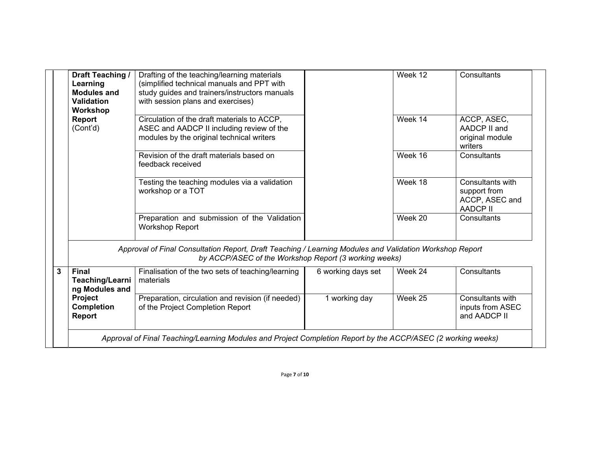|   | Draft Teaching /                                                                                                                                                 | Drafting of the teaching/learning materials       |                    | Week 12 | Consultants      |  |
|---|------------------------------------------------------------------------------------------------------------------------------------------------------------------|---------------------------------------------------|--------------------|---------|------------------|--|
|   | Learning                                                                                                                                                         | (simplified technical manuals and PPT with        |                    |         |                  |  |
|   | <b>Modules and</b>                                                                                                                                               | study guides and trainers/instructors manuals     |                    |         |                  |  |
|   | <b>Validation</b>                                                                                                                                                | with session plans and exercises)                 |                    |         |                  |  |
|   | Workshop                                                                                                                                                         |                                                   |                    |         |                  |  |
|   | <b>Report</b>                                                                                                                                                    | Circulation of the draft materials to ACCP,       |                    | Week 14 | ACCP, ASEC,      |  |
|   | (Cont <sub>d</sub> )                                                                                                                                             | ASEC and AADCP II including review of the         |                    |         | AADCP II and     |  |
|   |                                                                                                                                                                  | modules by the original technical writers         |                    |         | original module  |  |
|   |                                                                                                                                                                  |                                                   |                    |         | writers          |  |
|   |                                                                                                                                                                  | Revision of the draft materials based on          |                    | Week 16 | Consultants      |  |
|   |                                                                                                                                                                  | feedback received                                 |                    |         |                  |  |
|   |                                                                                                                                                                  |                                                   |                    |         |                  |  |
|   |                                                                                                                                                                  | Testing the teaching modules via a validation     |                    | Week 18 | Consultants with |  |
|   |                                                                                                                                                                  | workshop or a TOT                                 |                    |         | support from     |  |
|   |                                                                                                                                                                  |                                                   |                    |         | ACCP, ASEC and   |  |
|   |                                                                                                                                                                  |                                                   |                    |         | <b>AADCP II</b>  |  |
|   |                                                                                                                                                                  | Preparation and submission of the Validation      |                    | Week 20 | Consultants      |  |
|   |                                                                                                                                                                  | <b>Workshop Report</b>                            |                    |         |                  |  |
|   |                                                                                                                                                                  |                                                   |                    |         |                  |  |
|   | Approval of Final Consultation Report, Draft Teaching / Learning Modules and Validation Workshop Report<br>by ACCP/ASEC of the Workshop Report (3 working weeks) |                                                   |                    |         |                  |  |
| 3 | <b>Final</b>                                                                                                                                                     | Finalisation of the two sets of teaching/learning | 6 working days set | Week 24 | Consultants      |  |
|   | <b>Teaching/Learni</b>                                                                                                                                           | materials                                         |                    |         |                  |  |
|   | ng Modules and                                                                                                                                                   |                                                   |                    |         |                  |  |
|   | Project                                                                                                                                                          | Preparation, circulation and revision (if needed) | 1 working day      | Week 25 | Consultants with |  |
|   | <b>Completion</b>                                                                                                                                                | of the Project Completion Report                  |                    |         | inputs from ASEC |  |
|   | <b>Report</b>                                                                                                                                                    |                                                   |                    |         | and AADCP II     |  |
|   |                                                                                                                                                                  |                                                   |                    |         |                  |  |
|   | Approval of Final Teaching/Learning Modules and Project Completion Report by the ACCP/ASEC (2 working weeks)                                                     |                                                   |                    |         |                  |  |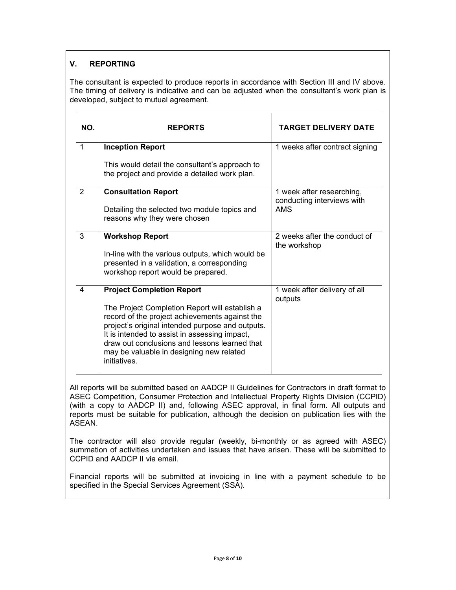## **V. REPORTING**

The consultant is expected to produce reports in accordance with Section III and IV above. The timing of delivery is indicative and can be adjusted when the consultant's work plan is developed, subject to mutual agreement.

| NO.          | <b>REPORTS</b>                                                                                                                                                                                                                                                                                                     | <b>TARGET DELIVERY DATE</b>                             |
|--------------|--------------------------------------------------------------------------------------------------------------------------------------------------------------------------------------------------------------------------------------------------------------------------------------------------------------------|---------------------------------------------------------|
| $\mathbf{1}$ | <b>Inception Report</b>                                                                                                                                                                                                                                                                                            | 1 weeks after contract signing                          |
|              | This would detail the consultant's approach to<br>the project and provide a detailed work plan.                                                                                                                                                                                                                    |                                                         |
| 2            | <b>Consultation Report</b>                                                                                                                                                                                                                                                                                         | 1 week after researching,<br>conducting interviews with |
|              | Detailing the selected two module topics and<br>reasons why they were chosen                                                                                                                                                                                                                                       | <b>AMS</b>                                              |
| 3            | <b>Workshop Report</b>                                                                                                                                                                                                                                                                                             | 2 weeks after the conduct of<br>the workshop            |
|              | In-line with the various outputs, which would be<br>presented in a validation, a corresponding<br>workshop report would be prepared.                                                                                                                                                                               |                                                         |
| 4            | <b>Project Completion Report</b>                                                                                                                                                                                                                                                                                   | 1 week after delivery of all<br>outputs                 |
|              | The Project Completion Report will establish a<br>record of the project achievements against the<br>project's original intended purpose and outputs.<br>It is intended to assist in assessing impact,<br>draw out conclusions and lessons learned that<br>may be valuable in designing new related<br>initiatives. |                                                         |

All reports will be submitted based on AADCP II Guidelines for Contractors in draft format to ASEC Competition, Consumer Protection and Intellectual Property Rights Division (CCPID) (with a copy to AADCP II) and, following ASEC approval, in final form. All outputs and reports must be suitable for publication, although the decision on publication lies with the ASEAN.

The contractor will also provide regular (weekly, bi-monthly or as agreed with ASEC) summation of activities undertaken and issues that have arisen. These will be submitted to CCPID and AADCP II via email.

Financial reports will be submitted at invoicing in line with a payment schedule to be specified in the Special Services Agreement (SSA).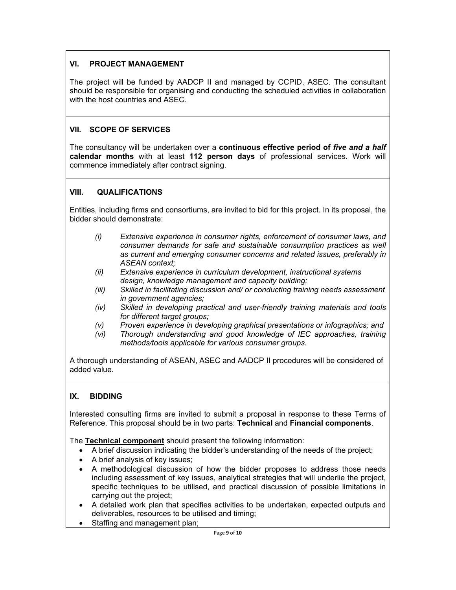## **VI. PROJECT MANAGEMENT**

The project will be funded by AADCP II and managed by CCPID, ASEC. The consultant should be responsible for organising and conducting the scheduled activities in collaboration with the host countries and ASEC.

## **VII. SCOPE OF SERVICES**

The consultancy will be undertaken over a **continuous effective period of** *five and a half*  **calendar months** with at least **112 person days** of professional services. Work will commence immediately after contract signing.

## **VIII. QUALIFICATIONS**

Entities, including firms and consortiums, are invited to bid for this project. In its proposal, the bidder should demonstrate:

- *(i) Extensive experience in consumer rights, enforcement of consumer laws, and consumer demands for safe and sustainable consumption practices as well as current and emerging consumer concerns and related issues, preferably in ASEAN context;*
- *(ii) Extensive experience in curriculum development, instructional systems design, knowledge management and capacity building;*
- *(iii) Skilled in facilitating discussion and/ or conducting training needs assessment in government agencies;*
- *(iv) Skilled in developing practical and user-friendly training materials and tools for different target groups;*
- *(v) Proven experience in developing graphical presentations or infographics; and*
- *(vi) Thorough understanding and good knowledge of IEC approaches, training methods/tools applicable for various consumer groups.*

A thorough understanding of ASEAN, ASEC and AADCP II procedures will be considered of added value.

## **IX. BIDDING**

Interested consulting firms are invited to submit a proposal in response to these Terms of Reference. This proposal should be in two parts: **Technical** and **Financial components**.

The **Technical component** should present the following information:

- A brief discussion indicating the bidder's understanding of the needs of the project;
- A brief analysis of key issues;
- A methodological discussion of how the bidder proposes to address those needs including assessment of key issues, analytical strategies that will underlie the project, specific techniques to be utilised, and practical discussion of possible limitations in carrying out the project;
- A detailed work plan that specifies activities to be undertaken, expected outputs and deliverables, resources to be utilised and timing;
- Staffing and management plan: